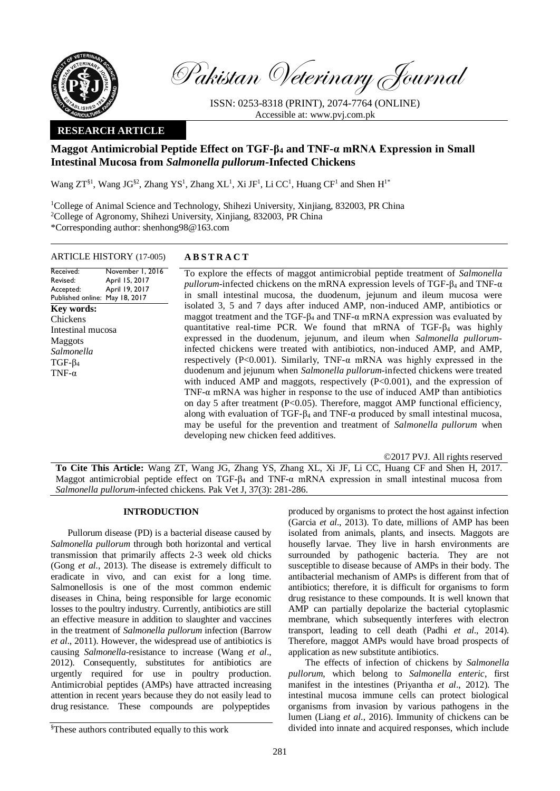

Pakistan Veterinary Journal

ISSN: 0253-8318 (PRINT), 2074-7764 (ONLINE) Accessible at: [www.pvj.com.pk](http://www.pvj.com.pk/)

## **RESEARCH ARTICLE**

# **Maggot Antimicrobial Peptide Effect on TGF-β<sup>4</sup> and TNF-α mRNA Expression in Small Intestinal Mucosa from** *Salmonella pullorum***-Infected Chickens**

Wang  $ZT^{§1}$ , Wang JG<sup>§2</sup>, Zhang YS<sup>1</sup>, Zhang XL<sup>1</sup>, Xi JF<sup>1</sup>, Li CC<sup>1</sup>, Huang CF<sup>1</sup> and Shen H<sup>1\*</sup>

<sup>1</sup>College of Animal Science and Technology, Shihezi University, Xinjiang, 832003, PR China <sup>2</sup>College of Agronomy, Shihezi University, Xinjiang, 832003, PR China \*Corresponding author: shenhong98@163.com

## ARTICLE HISTORY (17-005) **A B S T R A C T**

Received: Revised: Accepted: Published online: May 18, 2017 November 1, 2016 April 15, 2017 April 19, 2017 **Key words:**  Chickens Intestinal mucosa Maggots *Salmonella* TGF-β<sup>4</sup> TNF-α

To explore the effects of maggot antimicrobial peptide treatment of *Salmonella pullorum*-infected chickens on the mRNA expression levels of TGF- $\beta_4$  and TNF- $\alpha$ in small intestinal mucosa, the duodenum, jejunum and ileum mucosa were isolated 3, 5 and 7 days after induced AMP, non-induced AMP, antibiotics or maggot treatment and the TGF- $\beta_4$  and TNF- $\alpha$  mRNA expression was evaluated by quantitative real-time PCR. We found that mRNA of TGF- $\beta_4$  was highly expressed in the duodenum, jejunum, and ileum when *Salmonella pullorum*infected chickens were treated with antibiotics, non-induced AMP, and AMP, respectively (P<0.001). Similarly, TNF- $\alpha$  mRNA was highly expressed in the duodenum and jejunum when *Salmonella pullorum*-infected chickens were treated with induced AMP and maggots, respectively (P<0.001), and the expression of TNF-α mRNA was higher in response to the use of induced AMP than antibiotics on day 5 after treatment (P<0.05). Therefore, maggot AMP functional efficiency, along with evaluation of TGF- $\beta_4$  and TNF- $\alpha$  produced by small intestinal mucosa, may be useful for the prevention and treatment of *Salmonella pullorum* when developing new chicken feed additives.

©2017 PVJ. All rights reserved

**To Cite This Article:** Wang ZT, Wang JG, Zhang YS, Zhang XL, Xi JF, Li CC, Huang CF and Shen H, 2017. Maggot antimicrobial peptide effect on TGF- $\beta_4$  and TNF- $\alpha$  mRNA expression in small intestinal mucosa from *Salmonella pullorum*-infected chickens. Pak Vet J, 37(3): 281-286.

## **INTRODUCTION**

Pullorum disease (PD) is a bacterial disease caused by *Salmonella pullorum* through both horizontal and vertical transmission that primarily affects 2-3 week old chicks (Gong *et al*., 2013). The disease is extremely difficult to eradicate in vivo, and can exist for a long time. Salmonellosis is one of the most common endemic diseases in China, being responsible for large economic losses to the poultry industry. Currently, antibiotics are still an effective measure in addition to slaughter and vaccines in the treatment of *Salmonella pullorum* infection (Barrow *et al*., 2011). However, the widespread use of antibiotics is causing *Salmonella*-resistance to increase (Wang *et al*., 2012). Consequently, substitutes for antibiotics are urgently required for use in poultry production. Antimicrobial peptides (AMPs) have attracted increasing attention in recent years because they do not easily lead to drug resistance. These compounds are polypeptides

§These authors contributed equally to this work

produced by organisms to protect the host against infection (Garcia *et al*., 2013). To date, millions of AMP has been isolated from animals, plants, and insects. Maggots are housefly larvae. They live in harsh environments are surrounded by pathogenic bacteria. They are not susceptible to disease because of AMPs in their body. The antibacterial mechanism of AMPs is different from that of antibiotics; therefore, it is difficult for organisms to form drug resistance to these compounds. It is well known that AMP can partially depolarize the bacterial cytoplasmic membrane, which subsequently interferes with electron transport, leading to cell death (Padhi *et al*., 2014). Therefore, maggot AMPs would have broad prospects of application as new substitute antibiotics.

The effects of infection of chickens by *Salmonella pullorum*, which belong to *Salmonella enteric*, first manifest in the intestines (Priyantha *et al*., 2012). The intestinal mucosa immune cells can protect biological organisms from invasion by various pathogens in the lumen (Liang *et al*., 2016). Immunity of chickens can be divided into innate and acquired responses, which include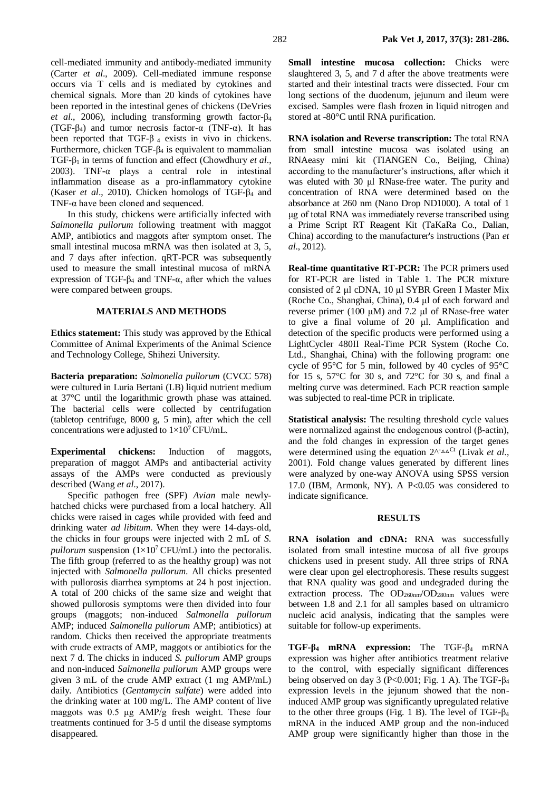cell-mediated immunity and antibody-mediated immunity (Carter *et al*., 2009). Cell-mediated immune response occurs via T cells and is mediated by cytokines and chemical signals. More than 20 kinds of cytokines have been reported in the intestinal genes of chickens (DeVries *et al*., 2006), including transforming growth factor-β<sup>4</sup> (TGF- $\beta_4$ ) and tumor necrosis factor- $\alpha$  (TNF- $\alpha$ ). It has been reported that TGF- $\beta$  4 exists in vivo in chickens. Furthermore, chicken TGF-β<sup>4</sup> is equivalent to mammalian TGF-β<sup>1</sup> in terms of function and effect (Chowdhury *et al*., 2003). TNF- $\alpha$  plays a central role in intestinal inflammation disease as a pro-inflammatory cytokine (Kaser *et al*., 2010). Chicken homologs of TGF-β<sup>4</sup> and TNF-α have been cloned and sequenced.

In this study, chickens were artificially infected with *Salmonella pullorum* following treatment with maggot AMP, antibiotics and maggots after symptom onset. The small intestinal mucosa mRNA was then isolated at 3, 5, and 7 days after infection. qRT-PCR was subsequently used to measure the small intestinal mucosa of mRNA expression of TGF- $β$ <sub>4</sub> and TNF- $α$ , after which the values were compared between groups.

### **MATERIALS AND METHODS**

**Ethics statement:** This study was approved by the Ethical Committee of Animal Experiments of the Animal Science and Technology College, Shihezi University.

**Bacteria preparation:** *Salmonella pullorum* (CVCC 578) were cultured in Luria Bertani (LB) liquid nutrient medium at 37°C until the logarithmic growth phase was attained. The bacterial cells were collected by centrifugation (tabletop centrifuge, 8000 g, 5 min), after which the cell concentrations were adjusted to  $1\times10^7$  CFU/mL.

**Experimental chickens:** Induction of maggots, preparation of maggot AMPs and antibacterial activity assays of the AMPs were conducted as previously described (Wang *et al*., 2017).

Specific pathogen free (SPF) *Avian* male newlyhatched chicks were purchased from a local hatchery. All chicks were raised in cages while provided with feed and drinking water *ad libitum*. When they were 14-days-old, the chicks in four groups were injected with 2 mL of *S. pullorum* suspension  $(1\times10^7$  CFU/mL) into the pectoralis. The fifth group (referred to as the healthy group) was not injected with *Salmonella pullorum*. All chicks presented with pullorosis diarrhea symptoms at 24 h post injection. A total of 200 chicks of the same size and weight that showed pullorosis symptoms were then divided into four groups (maggots; non-induced *Salmonella pullorum* AMP; induced *Salmonella pullorum* AMP; antibiotics) at random. Chicks then received the appropriate treatments with crude extracts of AMP, maggots or antibiotics for the next 7 d. The chicks in induced *S. pullorum* AMP groups and non-induced *Salmonella pullorum* AMP groups were given 3 mL of the crude AMP extract (1 mg AMP/mL) daily. Antibiotics (*Gentamycin sulfate*) were added into the drinking water at 100 mg/L. The AMP content of live maggots was 0.5 μg AMP/g fresh weight. These four treatments continued for 3-5 d until the disease symptoms disappeared.

**Small intestine mucosa collection:** Chicks were slaughtered 3, 5, and 7 d after the above treatments were started and their intestinal tracts were dissected. Four cm long sections of the duodenum, jejunum and ileum were excised. Samples were flash frozen in liquid nitrogen and stored at -80°C until RNA purification.

**RNA isolation and Reverse transcription:** The total RNA from small intestine mucosa was isolated using an RNAeasy mini kit (TIANGEN Co., Beijing, China) according to the manufacturer's instructions, after which it was eluted with 30 μl RNase-free water. The purity and concentration of RNA were determined based on the absorbance at 260 nm (Nano Drop ND1000). A total of 1 μg of total RNA was immediately reverse transcribed using a Prime Script RT Reagent Kit (TaKaRa Co., Dalian, China) according to the manufacturer's instructions (Pan *et al*., 2012).

**Real-time quantitative RT-PCR:** The PCR primers used for RT-PCR are listed in Table 1. The PCR mixture consisted of 2 μl cDNA, 10 μl SYBR Green I Master Mix (Roche Co., Shanghai, China), 0.4 μl of each forward and reverse primer (100 μM) and 7.2 μl of RNase-free water to give a final volume of 20 μl. Amplification and detection of the specific products were performed using a LightCycler 480II Real-Time PCR System (Roche Co. Ltd., Shanghai, China) with the following program: one cycle of 95°C for 5 min, followed by 40 cycles of 95°C for 15 s,  $57^{\circ}$ C for 30 s, and  $72^{\circ}$ C for 30 s, and final a melting curve was determined. Each PCR reaction sample was subjected to real-time PCR in triplicate.

**Statistical analysis:** The resulting threshold cycle values were normalized against the endogenous control (β-actin), and the fold changes in expression of the target genes were determined using the equation 2<sup>∧-</sup>△△<sup>Ct</sup> (Livak *et al.*, 2001). Fold change values generated by different lines were analyzed by one-way ANOVA using SPSS version 17.0 (IBM, Armonk, NY). A  $P<0.05$  was considered to indicate significance.

#### **RESULTS**

**RNA isolation and cDNA:** RNA was successfully isolated from small intestine mucosa of all five groups chickens used in present study. All three strips of RNA were clear upon gel electrophoresis. These results suggest that RNA quality was good and undegraded during the extraction process. The  $OD_{260nm}/OD_{280nm}$  values were between 1.8 and 2.1 for all samples based on ultramicro nucleic acid analysis, indicating that the samples were suitable for follow-up experiments.

**TGF-β<sup>4</sup> mRNA expression:** The TGF-β<sup>4</sup> mRNA expression was higher after antibiotics treatment relative to the control, with especially significant differences being observed on day 3 (P<0.001; Fig. 1 A). The TGF- $\beta_4$ expression levels in the jejunum showed that the noninduced AMP group was significantly upregulated relative to the other three groups (Fig. 1 B). The level of TGF- $\beta_4$ mRNA in the induced AMP group and the non-induced AMP group were significantly higher than those in the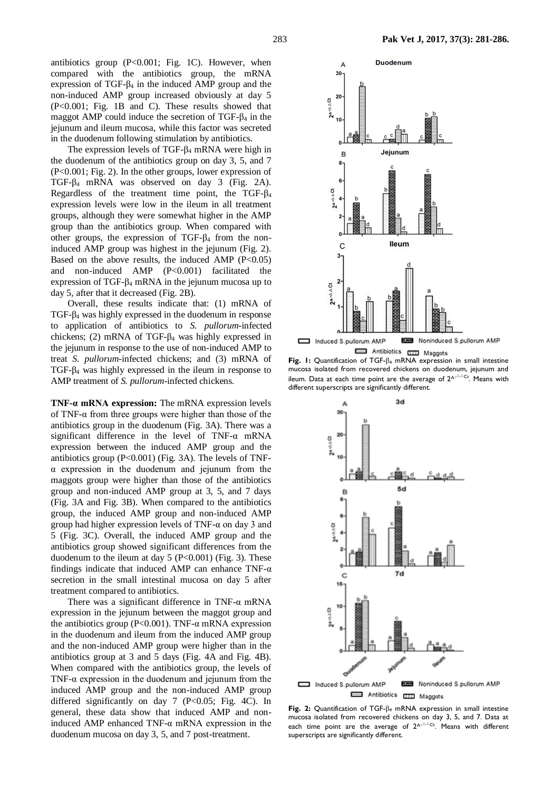antibiotics group  $(P<0.001$ ; Fig. 1C). However, when compared with the antibiotics group, the mRNA expression of TGF- $β$ <sub>4</sub> in the induced AMP group and the non-induced AMP group increased obviously at day 5 (P<0.001; Fig. 1B and C). These results showed that maggot AMP could induce the secretion of TGF-β<sup>4</sup> in the jejunum and ileum mucosa, while this factor was secreted in the duodenum following stimulation by antibiotics.

The expression levels of TGF-β<sup>4</sup> mRNA were high in the duodenum of the antibiotics group on day 3, 5, and 7 (P<0.001; Fig. 2). In the other groups, lower expression of TGF-β<sup>4</sup> mRNA was observed on day 3 (Fig. 2A). Regardless of the treatment time point, the TGF-β<sup>4</sup> expression levels were low in the ileum in all treatment groups, although they were somewhat higher in the AMP group than the antibiotics group. When compared with other groups, the expression of TGF- $β$ <sub>4</sub> from the noninduced AMP group was highest in the jejunum (Fig. 2). Based on the above results, the induced AMP  $(P<0.05)$ and non-induced AMP (P<0.001) facilitated the expression of TGF-β<sup>4</sup> mRNA in the jejunum mucosa up to day 5, after that it decreased (Fig. 2B).

Overall, these results indicate that: (1) mRNA of TGF-β<sup>4</sup> was highly expressed in the duodenum in response to application of antibiotics to *S. pullorum-*infected chickens; (2) mRNA of TGF- $β$ <sub>4</sub> was highly expressed in the jejunum in response to the use of non-induced AMP to treat *S. pullorum-*infected chickens; and (3) mRNA of TGF- $\beta_4$  was highly expressed in the ileum in response to AMP treatment of *S. pullorum-*infected chickens.

**TNF-α mRNA expression:** The mRNA expression levels of TNF-α from three groups were higher than those of the antibiotics group in the duodenum (Fig. 3A). There was a significant difference in the level of TNF-α mRNA expression between the induced AMP group and the antibiotics group  $(P<0.001)$  (Fig. 3A). The levels of TNFα expression in the duodenum and jejunum from the maggots group were higher than those of the antibiotics group and non-induced AMP group at 3, 5, and 7 days (Fig. 3A and Fig. 3B). When compared to the antibiotics group, the induced AMP group and non-induced AMP group had higher expression levels of TNF- $\alpha$  on day 3 and 5 (Fig. 3C). Overall, the induced AMP group and the antibiotics group showed significant differences from the duodenum to the ileum at day  $5$  (P<0.001) (Fig. 3). These findings indicate that induced AMP can enhance TNF- $\alpha$ secretion in the small intestinal mucosa on day 5 after treatment compared to antibiotics.

There was a significant difference in TNF-α mRNA expression in the jejunum between the maggot group and the antibiotics group ( $P<0.001$ ). TNF- $\alpha$  mRNA expression in the duodenum and ileum from the induced AMP group and the non-induced AMP group were higher than in the antibiotics group at 3 and 5 days (Fig. 4A and Fig. 4B). When compared with the antibiotics group, the levels of TNF- $\alpha$  expression in the duodenum and jejunum from the induced AMP group and the non-induced AMP group differed significantly on day 7 (P<0.05; Fig. 4C). In general, these data show that induced AMP and noninduced AMP enhanced TNF-α mRNA expression in the duodenum mucosa on day 3, 5, and 7 post-treatment.



mucosa isolated from recovered chickens on duodenum, jejunum and ileum. Data at each time point are the average of  $2^{\Lambda-\triangle Cct}$ . Means with different superscripts are significantly different.



**Fig. 2:** Quantification of TGF-β<sup>4</sup> mRNA expression in small intestine mucosa isolated from recovered chickens on day 3, 5, and 7. Data at each time point are the average of  $2^{\Lambda - \Delta \Delta}C$ t. Means with different superscripts are significantly different.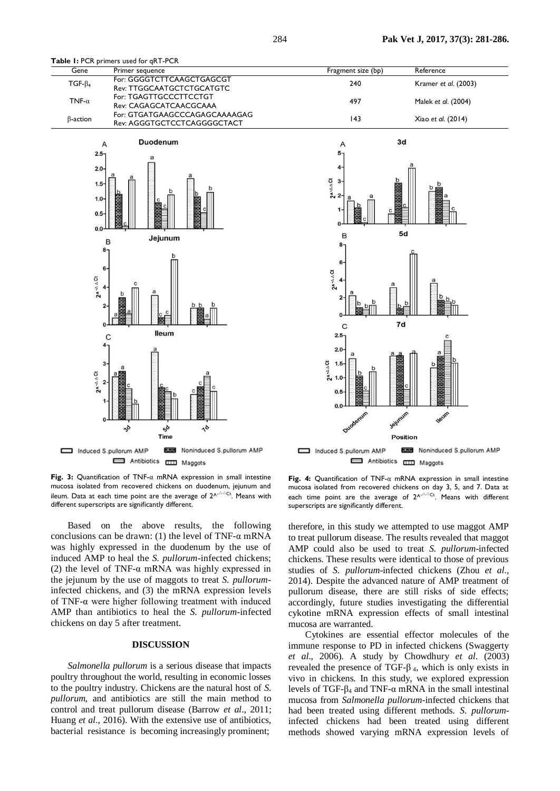

| Gene            | Primer sequence                                              | Fragment size (bp) | Reference            |
|-----------------|--------------------------------------------------------------|--------------------|----------------------|
| $TGF-\beta_4$   | For: GGGGTCTTCAAGCTGAGCGT<br>Rev: TTGGCAATGCTCTGCATGTC       | 240                | Kramer et al. (2003) |
| TNF- $\alpha$   | For: TGAGTTGCCCTTCCTGT<br>Rev: CAGAGCATCAACGCAAA             | 497                | Malek et al. (2004)  |
| $\beta$ -action | For: GTGATGAAGCCCAGAGCAAAAGAG<br>Rev: AGGGTGCTCCTCAGGGGCTACT | 143                | Xiao et al. (2014)   |





**Fig. 3:** Quantification of TNF-α mRNA expression in small intestine mucosa isolated from recovered chickens on duodenum, jejunum and ileum. Data at each time point are the average of  $2^{\Lambda-\Delta C_t}$ . Means with different superscripts are significantly different.

Based on the above results, the following conclusions can be drawn: (1) the level of TNF- $\alpha$  mRNA was highly expressed in the duodenum by the use of induced AMP to heal the *S. pullorum-*infected chickens; (2) the level of TNF-α mRNA was highly expressed in the jejunum by the use of maggots to treat *S. pullorum*infected chickens, and (3) the mRNA expression levels of TNF-α were higher following treatment with induced AMP than antibiotics to heal the *S. pullorum-*infected chickens on day 5 after treatment.

#### **DISCUSSION**

*Salmonella pullorum* is a serious disease that impacts poultry throughout the world, resulting in economic losses to the poultry industry. Chickens are the natural host of *S. pullorum*, and antibiotics are still the main method to control and treat pullorum disease (Barrow *et al*., 2011; Huang *et al*., 2016). With the extensive use of antibiotics, bacterial resistance is becoming increasingly prominent;

**Fig. 4:** Quantification of TNF-α mRNA expression in small intestine mucosa isolated from recovered chickens on day 3, 5, and 7. Data at each time point are the average of  $2^{\Lambda^{-\Delta\Delta}Ct}$ . Means with different superscripts are significantly different.

therefore, in this study we attempted to use maggot AMP to treat pullorum disease. The results revealed that maggot AMP could also be used to treat *S. pullorum-*infected chickens. These results were identical to those of previous studies of *S. pullorum-*infected chickens (Zhou *et al*., 2014). Despite the advanced nature of AMP treatment of pullorum disease, there are still risks of side effects; accordingly, future studies investigating the differential cykotine mRNA expression effects of small intestinal mucosa are warranted.

Cytokines are essential effector molecules of the immune response to PD in infected chickens (Swaggerty *et al*., 2006). A study by Chowdhury *et al*. (2003) revealed the presence of TGF- $\beta$ <sub>4</sub>, which is only exists in vivo in chickens. In this study, we explored expression levels of TGF-β<sup>4</sup> and TNF-α mRNA in the small intestinal mucosa from *Salmonella pullorum*-infected chickens that had been treated using different methods. *S. pullorum*infected chickens had been treated using different methods showed varying mRNA expression levels of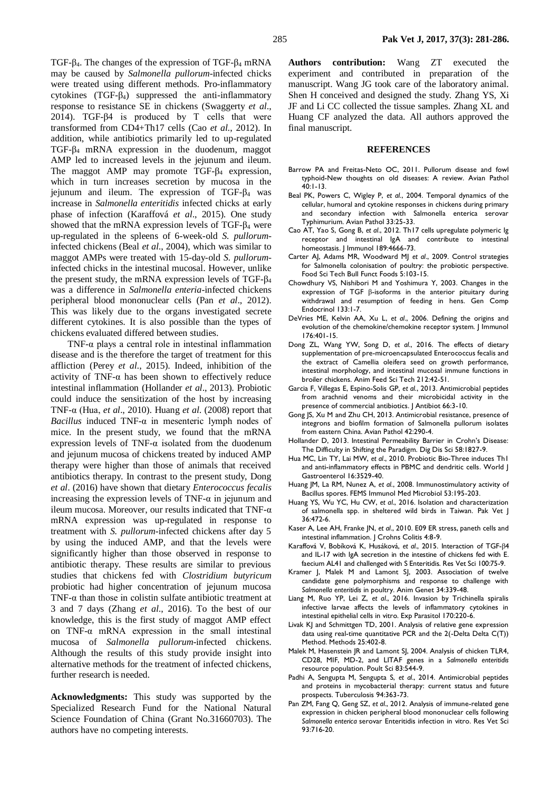TGF-β4. The changes of the expression of TGF-β<sup>4</sup> mRNA may be caused by *Salmonella pullorum-*infected chicks were treated using different methods. Pro-inflammatory cytokines (TGF-β4) suppressed the anti-inflammatory response to resistance SE in chickens (Swaggerty *et al*., 2014). TGF-β4 is produced by T cells that were transformed from CD4+Th17 cells (Cao *et al*., 2012). In addition, while antibiotics primarily led to up-regulated TGF-β<sup>4</sup> mRNA expression in the duodenum, maggot AMP led to increased levels in the jejunum and ileum. The maggot AMP may promote  $TGF-<sub>β</sub>$  expression, which in turn increases secretion by mucosa in the iejunum and ileum. The expression of TGF- $\beta_4$  was increase in *Salmonella enteritidis* infected chicks at early phase of infection (Karaffová *et al*., 2015). One study showed that the mRNA expression levels of TGF- $\beta_4$  were up-regulated in the spleens of 6-week-old *S. pullorum*infected chickens (Beal *et al*., 2004), which was similar to maggot AMPs were treated with 15-day-old *S. pullorum*infected chicks in the intestinal mucosal. However, unlike the present study, the mRNA expression levels of TGF- $\beta_4$ was a difference in *Salmonella enteria*-infected chickens peripheral blood mononuclear cells (Pan *et al*., 2012). This was likely due to the organs investigated secrete different cytokines. It is also possible than the types of chickens evaluated differed between studies.

TNF- $\alpha$  plays a central role in intestinal inflammation disease and is the therefore the target of treatment for this affliction (Perey *et al*., 2015). Indeed, inhibition of the activity of TNF- $\alpha$  has been shown to effectively reduce intestinal inflammation (Hollander *et al*., 2013). Probiotic could induce the sensitization of the host by increasing TNF-α (Hua, *et al*., 2010). Huang *et al*. (2008) report that *Bacillus* induced TNF-α in mesenteric lymph nodes of mice. In the present study, we found that the mRNA expression levels of TNF- $\alpha$  isolated from the duodenum and jejunum mucosa of chickens treated by induced AMP therapy were higher than those of animals that received antibiotics therapy. In contrast to the present study, Dong *et al*. (2016) have shown that dietary *Enterococcus fecalis* increasing the expression levels of TNF- $\alpha$  in jejunum and ileum mucosa. Moreover, our results indicated that TNF-α mRNA expression was up-regulated in response to treatment with *S. pullorum*-infected chickens after day 5 by using the induced AMP, and that the levels were significantly higher than those observed in response to antibiotic therapy. These results are similar to previous studies that chickens fed with *Clostridium butyricum* probiotic had higher concentration of jejunum mucosa TNF- $\alpha$  than those in colistin sulfate antibiotic treatment at 3 and 7 days (Zhang *et al*., 2016). To the best of our knowledge, this is the first study of maggot AMP effect on TNF-α mRNA expression in the small intestinal mucosa of *Salmonella pullorum*-infected chickens. Although the results of this study provide insight into alternative methods for the treatment of infected chickens, further research is needed.

**Acknowledgments:** This study was supported by the Specialized Research Fund for the National Natural Science Foundation of China (Grant No.31660703). The authors have no competing interests.

**Authors contribution:** Wang ZT executed the experiment and contributed in preparation of the manuscript. Wang JG took care of the laboratory animal. Shen H conceived and designed the study. Zhang YS, Xi JF and Li CC collected the tissue samples. Zhang XL and Huang CF analyzed the data. All authors approved the final manuscript.

#### **REFERENCES**

- Barrow PA and Freitas-Neto OC, 2011. Pullorum disease and fowl typhoid-New thoughts on old diseases: A review. Avian Pathol 40:1-13.
- Beal PK, Powers C, Wigley P, *et al*., 2004. Temporal dynamics of the cellular, humoral and cytokine responses in chickens during primary and secondary infection with Salmonella enterica serovar Typhimurium. Avian Pathol 33:25-33.
- Cao AT, Yao S, Gong B, *et al*., 2012. Th17 cells upregulate polymeric Ig receptor and intestinal IgA and contribute to intestinal homeostasis. | Immunol 189:4666-73.
- Carter AJ, Adams MR, Woodward MJ *et al*., 2009. Control strategies for Salmonella colonisation of poultry: the probiotic perspective. Food Sci Tech Bull Funct Foods 5:103-15.
- Chowdhury VS, Nishibori M and Yoshimura Y, 2003. Changes in the expression of TGF β-isoforms in the anterior pituitary during withdrawal and resumption of feeding in hens. Gen Comp Endocrinol 133:1-7.
- DeVries ME, Kelvin AA, Xu L, *et al*., 2006. Defining the origins and evolution of the chemokine/chemokine receptor system. J Immunol 176:401-15.
- Dong ZL, Wang YW, Song D, *et al*., 2016. The effects of dietary supplementation of pre-microencapsulated Enterococcus fecalis and the extract of Camellia oleifera seed on growth performance, intestinal morphology, and intestinal mucosal immune functions in broiler chickens. Anim Feed Sci Tech 212:42-51.
- Garcia F, Villegas E, Espino-Solis GP, *et al*., 2013. Antimicrobial peptides from arachnid venoms and their microbicidal activity in the presence of commercial antibiotics. J Antibiot 66:3-10.
- Gong JS, Xu M and Zhu CH, 2013. Antimicrobial resistance, presence of integrons and biofilm formation of Salmonella pullorum isolates from eastern China. Avian Pathol 42:290-4.
- Hollander D, 2013. Intestinal Permeability Barrier in Crohn's Disease: The Difficulty in Shifting the Paradigm. Dig Dis Sci 58:1827-9.
- Hua MC, Lin TY, Lai MW, *et al*., 2010. Probiotic Bio-Three induces Th1 and anti-inflammatory effects in PBMC and dendritic cells. World J Gastroenterol 16:3529-40.
- Huang JM, La RM, Nunez A, *et al*., 2008. Immunostimulatory activity of Bacillus spores. FEMS Immunol Med Microbiol 53:195-203.
- Huang YS, Wu YC, Hu CW, *et al*., 2016. Isolation and characterization of salmonella spp. in sheltered wild birds in Taiwan. Pak Vet J 36:472-6.
- Kaser A, Lee AH, Franke JN, *et al*., 2010. E09 ER stress, paneth cells and intestinal inflammation. J Crohns Colitis 4:8-9.
- Karaffová V, Bobíková K, Husáková, *et al*., 2015. Interaction of TGF-β4 and IL-17 with IgA secretion in the intestine of chickens fed with E. faecium AL41 and challenged with S Enteritidis. Res Vet Sci 100:75-9.
- Kramer J, Malek M and Lamont SJ, 2003. Association of twelve candidate gene polymorphisms and response to challenge with *Salmonella enteritidis* in poultry. Anim Genet 34:339-48.
- Liang M, Ruo YP, Lei Z, *et al*., 2016. Invasion by Trichinella spiralis infective larvae affects the levels of inflammatory cytokines in intestinal epithelial cells in vitro. Exp Parasitol 170:220-6.
- Livak KJ and Schmittgen TD, 2001. Analysis of relative gene expression data using real-time quantitative PCR and the 2(-Delta Delta C(T)) Method. Methods 25:402-8.
- Malek M, Hasenstein JR and Lamont SJ, 2004. Analysis of chicken TLR4, CD28, MIF, MD-2, and LITAF genes in a *Salmonella enteritidis*  resource population. Poult Sci 83:544-9.
- Padhi A, Sengupta M, Sengupta S, *et al*., 2014. Antimicrobial peptides and proteins in mycobacterial therapy: current status and future prospects. Tuberculosis 94:363-73.
- Pan ZM, Fang Q, Geng SZ, *et al*., 2012. Analysis of immune-related gene expression in chicken peripheral blood mononuclear cells following *Salmonella enterica* serovar Enteritidis infection in vitro. Res Vet Sci 93:716-20.